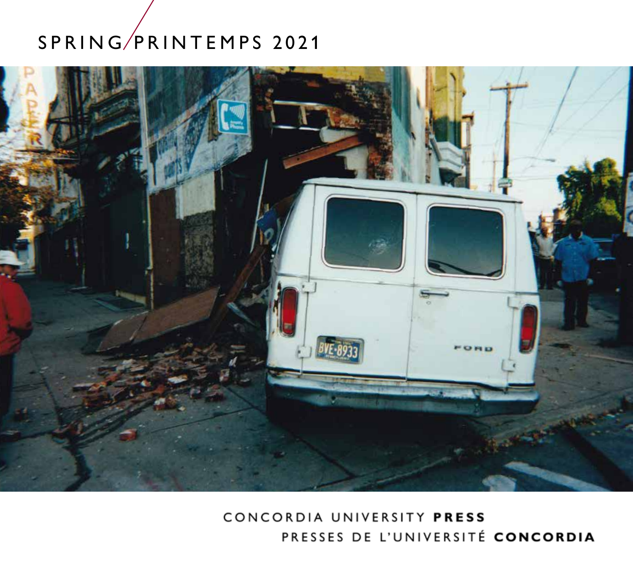# SPRING/PRINTEMPS 2021



CONCORDIA UNIVERSITY PRESS PRESSES DE L'UNIVERSITÉ CONCORDIA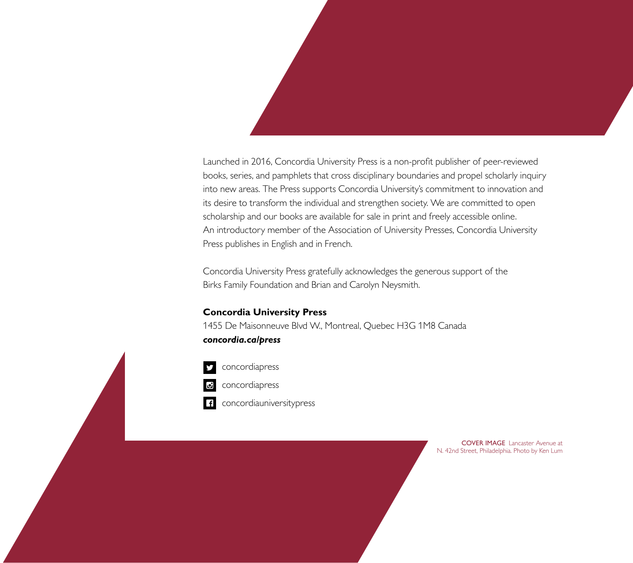Launched in 2016, Concordia University Press is a non-profit publisher of peer-reviewed books, series, and pamphlets that cross disciplinary boundaries and propel scholarly inquiry into new areas. The Press supports Concordia University's commitment to innovation and its desire to transform the individual and strengthen society. We are committed to open scholarship and our books are available for sale in print and freely accessible online. An introductory member of the Association of University Presses, Concordia University Press publishes in English and in French.

Concordia University Press gratefully acknowledges the generous support of the Birks Family Foundation and Brian and Carolyn Neysmith.

### **Concordia University Press**

1455 De Maisonneuve Blvd W., Montreal, Quebec H3G 1M8 Canada *concordia.ca/press* 



concordiapress

concordiapress

concordiauniversitypress

COVER IMAGE Lancaster Avenue at N. 42nd Street, Philadelphia. Photo by Ken Lum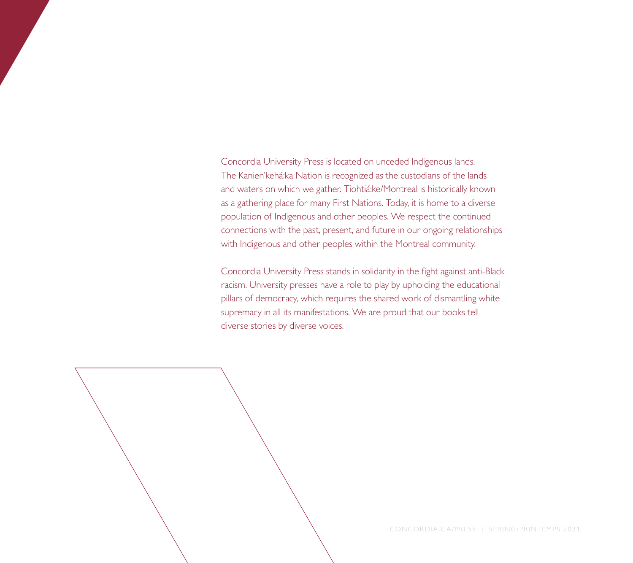Concordia University Press is located on unceded Indigenous lands. The Kanien'kehá:ka Nation is recognized as the custodians of the lands and waters on which we gather. Tiohtiá:ke/Montreal is historically known as a gathering place for many First Nations. Today, it is home to a diverse population of Indigenous and other peoples. We respect the continued connections with the past, present, and future in our ongoing relationships with Indigenous and other peoples within the Montreal community.

Concordia University Press stands in solidarity in the fight against anti-Black racism. University presses have a role to play by upholding the educational pillars of democracy, which requires the shared work of dismantling white supremacy in all its manifestations. We are proud that our books tell diverse stories by diverse voices.



CONCORDIA.CA/PRESS | SPRING/PRINTEMPS 2021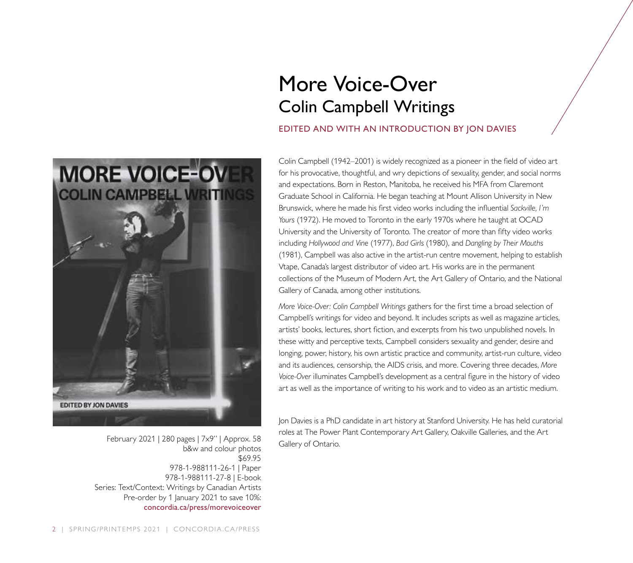

February 2021 | 280 pages | 7x9" | Approx. 58 b&w and colour photos \$69.95 978-1-988111-26-1 | Paper 978-1-988111-27-8 | E-book Series: Text/Context: Writings by Canadian Artists Pre-order by 1 January 2021 to save 10%: concordia.ca/press/morevoiceover

## More Voice-Over Colin Campbell Writings

#### EDITED AND WITH AN INTRODUCTION BY JON DAVIES

Colin Campbell (1942–2001) is widely recognized as a pioneer in the field of video art for his provocative, thoughtful, and wry depictions of sexuality, gender, and social norms and expectations. Born in Reston, Manitoba, he received his MFA from Claremont Graduate School in California. He began teaching at Mount Allison University in New Brunswick, where he made his first video works including the influential *Sackville, I'm Yours* (1972). He moved to Toronto in the early 1970s where he taught at OCAD University and the University of Toronto. The creator of more than fifty video works including *Hollywood and Vine* (1977), *Bad Girls* (1980), and *Dangling by Their Mouths* (1981), Campbell was also active in the artist-run centre movement, helping to establish Vtape, Canada's largest distributor of video art. His works are in the permanent collections of the Museum of Modern Art, the Art Gallery of Ontario, and the National Gallery of Canada, among other institutions.

*More Voice-Over: Colin Campbell Writings* gathers for the first time a broad selection of Campbell's writings for video and beyond. It includes scripts as well as magazine articles, artists' books, lectures, short fiction, and excerpts from his two unpublished novels. In these witty and perceptive texts, Campbell considers sexuality and gender, desire and longing, power, history, his own artistic practice and community, artist-run culture, video and its audiences, censorship, the AIDS crisis, and more. Covering three decades, *More Voice-Over* illuminates Campbell's development as a central figure in the history of video art as well as the importance of writing to his work and to video as an artistic medium.

Jon Davies is a PhD candidate in art history at Stanford University. He has held curatorial roles at The Power Plant Contemporary Art Gallery, Oakville Galleries, and the Art Gallery of Ontario.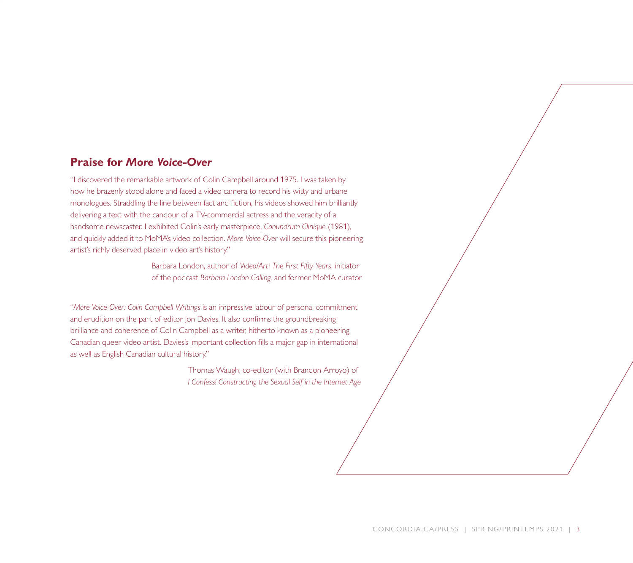### **Praise for** *More Voice-Over*

"I discovered the remarkable artwork of Colin Campbell around 1975. I was taken by how he brazenly stood alone and faced a video camera to record his witty and urbane monologues. Straddling the line between fact and fiction, his videos showed him brilliantly delivering a text with the candour of a TV-commercial actress and the veracity of a handsome newscaster. I exhibited Colin's early masterpiece, *Conundrum Clinique* (1981), and quickly added it to MoMA's video collection. *More Voice-Over* will secure this pioneering artist's richly deserved place in video art's history."

> Barbara London, author of *Video/Art: The First Fifty Years*, initiator of the podcast *Barbara London Calling,* and former MoMA curator

"*More Voice-Over: Colin Campbell Writings* is an impressive labour of personal commitment and erudition on the part of editor Jon Davies. It also confirms the groundbreaking brilliance and coherence of Colin Campbell as a writer, hitherto known as a pioneering Canadian queer video artist. Davies's important collection fills a major gap in international as well as English Canadian cultural history."

> Thomas Waugh, co-editor (with Brandon Arroyo) of *I Confess! Constructing the Sexual Self in the Internet Age*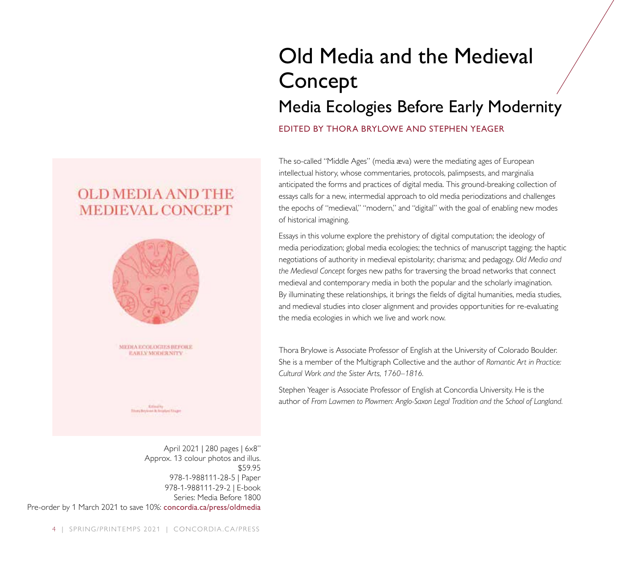## Old Media and the Medieval Concept

## Media Ecologies Before Early Modernity

#### EDITED BY THORA BRYLOWE AND STEPHEN YEAGER

The so-called "Middle Ages" (media æva) were the mediating ages of European intellectual history, whose commentaries, protocols, palimpsests, and marginalia anticipated the forms and practices of digital media. This ground-breaking collection of essays calls for a new, intermedial approach to old media periodizations and challenges the epochs of "medieval," "modern," and "digital" with the goal of enabling new modes of historical imagining.

Essays in this volume explore the prehistory of digital computation; the ideology of media periodization; global media ecologies; the technics of manuscript tagging; the haptic negotiations of authority in medieval epistolarity; charisma; and pedagogy. *Old Media and the Medieval Concept* forges new paths for traversing the broad networks that connect medieval and contemporary media in both the popular and the scholarly imagination. By illuminating these relationships, it brings the fields of digital humanities, media studies, and medieval studies into closer alignment and provides opportunities for re-evaluating the media ecologies in which we live and work now.

Thora Brylowe is Associate Professor of English at the University of Colorado Boulder. She is a member of the Multigraph Collective and the author of *Romantic Art in Practice: Cultural Work and the Sister Arts, 1760–1816.*

Stephen Yeager is Associate Professor of English at Concordia University. He is the author of *From Lawmen to Plowmen: Anglo-Saxon Legal Tradition and the School of Langland.*

### **OLD MEDIA AND THE MEDIEVAL CONCEPT**



**EARLY MODERNITY** 

Editorial International Student

April 2021 | 280 pages | 6x8" Approx. 13 colour photos and illus. \$59.95 978-1-988111-28-5 | Paper 978-1-988111-29-2 | E-book Series: Media Before 1800 Pre-order by 1 March 2021 to save 10%: concordia.ca/press/oldmedia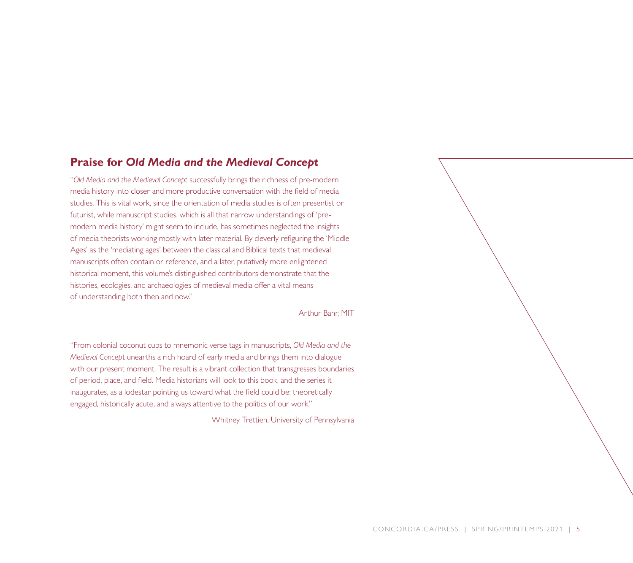### **Praise for** *Old Media and the Medieval Concept*

"*Old Media and the Medieval Concept* successfully brings the richness of pre-modern media history into closer and more productive conversation with the field of media studies. This is vital work, since the orientation of media studies is often presentist or futurist, while manuscript studies, which is all that narrow understandings of 'premodern media history' might seem to include, has sometimes neglected the insights of media theorists working mostly with later material. By cleverly refiguring the 'Middle Ages' as the 'mediating ages' between the classical and Biblical texts that medieval manuscripts often contain or reference, and a later, putatively more enlightened historical moment, this volume's distinguished contributors demonstrate that the histories, ecologies, and archaeologies of medieval media offer a vital means of understanding both then and now."

Arthur Bahr, MIT

"From colonial coconut cups to mnemonic verse tags in manuscripts, *Old Media and the Medieval Concep*t unearths a rich hoard of early media and brings them into dialogue with our present moment. The result is a vibrant collection that transgresses boundaries of period, place, and field. Media historians will look to this book, and the series it inaugurates, as a lodestar pointing us toward what the field could be: theoretically engaged, historically acute, and always attentive to the politics of our work."

Whitney Trettien, University of Pennsylvania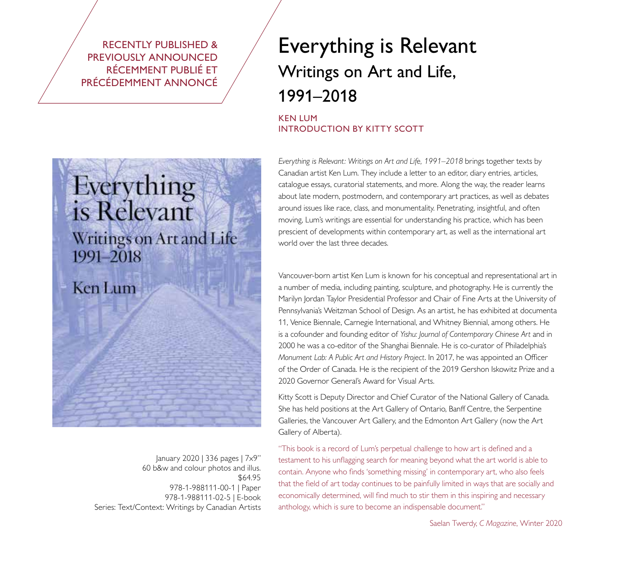RECENTLY PUBLISHED & PREVIOUSLY ANNOUNCED RÉCEMMENT PUBLIÉ ET PRÉCÉDEMMENT ANNONCÉ

## Everything is Relevant Writings on Art and Life, 1991–2018

#### KEN LUM INTRODUCTION BY KITTY SCOTT

*Everything is Relevant: Writings on Art and Life, 1991–2018* brings together texts by Canadian artist Ken Lum. They include a letter to an editor, diary entries, articles, catalogue essays, curatorial statements, and more. Along the way, the reader learns about late modern, postmodern, and contemporary art practices, as well as debates around issues like race, class, and monumentality. Penetrating, insightful, and often moving, Lum's writings are essential for understanding his practice, which has been prescient of developments within contemporary art, as well as the international art world over the last three decades.

Vancouver-born artist Ken Lum is known for his conceptual and representational art in a number of media, including painting, sculpture, and photography. He is currently the Marilyn Jordan Taylor Presidential Professor and Chair of Fine Arts at the University of Pennsylvania's Weitzman School of Design. As an artist, he has exhibited at documenta 11, Venice Biennale, Carnegie International, and Whitney Biennial, among others. He is a cofounder and founding editor of *Yishu: Journal of Contemporary Chinese Art* and in 2000 he was a co-editor of the Shanghai Biennale. He is co-curator of Philadelphia's *Monument Lab: A Public Art and History Project*. In 2017, he was appointed an Officer of the Order of Canada. He is the recipient of the 2019 Gershon Iskowitz Prize and a 2020 Governor General's Award for Visual Arts.

Kitty Scott is Deputy Director and Chief Curator of the National Gallery of Canada. She has held positions at the Art Gallery of Ontario, Banff Centre, the Serpentine Galleries, the Vancouver Art Gallery, and the Edmonton Art Gallery (now the Art Gallery of Alberta).

"This book is a record of Lum's perpetual challenge to how art is defined and a testament to his unflagging search for meaning beyond what the art world is able to contain. Anyone who finds 'something missing' in contemporary art, who also feels that the field of art today continues to be painfully limited in ways that are socially and economically determined, will find much to stir them in this inspiring and necessary anthology, which is sure to become an indispensable document."

# Everything is Relevant Writings on Art and Life 1991-2018

### **Ken Lum**

January 2020 | 336 pages | 7x9" 60 b&w and colour photos and illus. \$64.95 978-1-988111-00-1 | Paper 978-1-988111-02-5 | E-book Series: Text/Context: Writings by Canadian Artists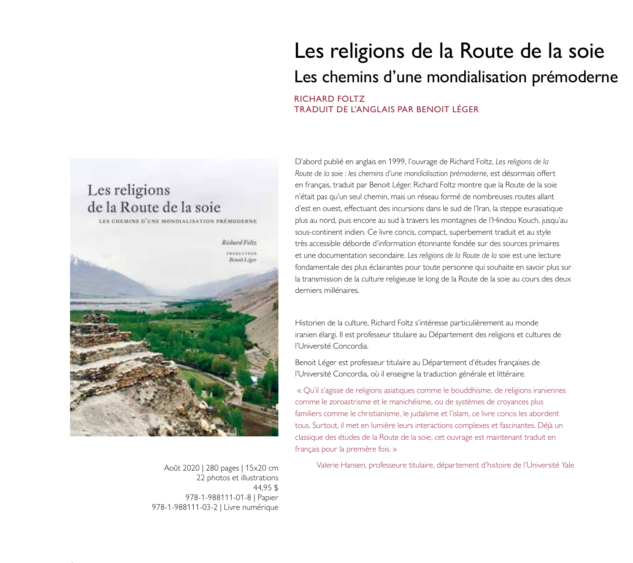

22 photos et illustrations 44,95 \$ 978-1-988111-01-8 | Papier 978-1-988111-03-2 | Livre numérique

## Les religions de la Route de la soie Les chemins d'une mondialisation prémoderne RICHARD FOLTZ TRADUIT DE L'ANGLAIS PAR BENOIT LÉGER

D'abord publié en anglais en 1999, l'ouvrage de Richard Foltz, *Les religions de la Route de la soie : les chemins d'une mondialisation prémoderne*, est désormais offert en français, traduit par Benoit Léger. Richard Foltz montre que la Route de la soie n'était pas qu'un seul chemin, mais un réseau formé de nombreuses routes allant d'est en ouest, effectuant des incursions dans le sud de l'Iran, la steppe eurasiatique plus au nord, puis encore au sud à travers les montagnes de l'Hindou Kouch, jusqu'au sous-continent indien. Ce livre concis, compact, superbement traduit et au style très accessible déborde d'information étonnante fondée sur des sources primaires et une documentation secondaire. *Les religions de la Route de la soie* est une lecture fondamentale des plus éclairantes pour toute personne qui souhaite en savoir plus sur la transmission de la culture religieuse le long de la Route de la soie au cours des deux derniers millénaires.

Historien de la culture, Richard Foltz s'intéresse particulièrement au monde iranien élargi. Il est professeur titulaire au Département des religions et cultures de l'Université Concordia.

Benoit Léger est professeur titulaire au Département d'études françaises de l'Université Concordia, où il enseigne la traduction générale et littéraire.

 « Qu'il s'agisse de religions asiatiques comme le bouddhisme, de religions iraniennes comme le zoroastrisme et le manichéisme, ou de systèmes de croyances plus familiers comme le christianisme, le judaïsme et l'islam, ce livre concis les abordent tous. Surtout, il met en lumière leurs interactions complexes et fascinantes. Déjà un classique des études de la Route de la soie, cet ouvrage est maintenant traduit en français pour la première fois. »

Août 2020 | 280 pages | 15x20 cm Valerie Hansen, professeure titulaire, département d'histoire de l'Université Yale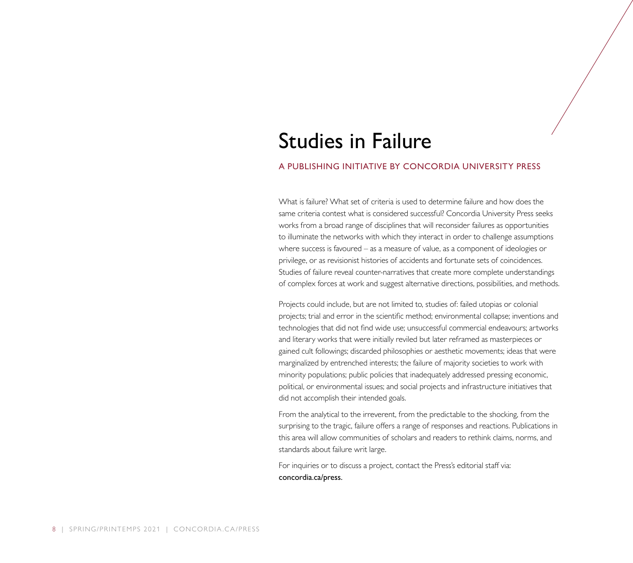## Studies in Failure

#### A PUBLISHING INITIATIVE BY CONCORDIA UNIVERSITY PRESS

What is failure? What set of criteria is used to determine failure and how does the same criteria contest what is considered successful? Concordia University Press seeks works from a broad range of disciplines that will reconsider failures as opportunities to illuminate the networks with which they interact in order to challenge assumptions where success is favoured – as a measure of value, as a component of ideologies or privilege, or as revisionist histories of accidents and fortunate sets of coincidences. Studies of failure reveal counter-narratives that create more complete understandings of complex forces at work and suggest alternative directions, possibilities, and methods.

Projects could include, but are not limited to, studies of: failed utopias or colonial projects; trial and error in the scientific method; environmental collapse; inventions and technologies that did not find wide use; unsuccessful commercial endeavours; artworks and literary works that were initially reviled but later reframed as masterpieces or gained cult followings; discarded philosophies or aesthetic movements; ideas that were marginalized by entrenched interests; the failure of majority societies to work with minority populations; public policies that inadequately addressed pressing economic, political, or environmental issues; and social projects and infrastructure initiatives that did not accomplish their intended goals.

From the analytical to the irreverent, from the predictable to the shocking, from the surprising to the tragic, failure offers a range of responses and reactions. Publications in this area will allow communities of scholars and readers to rethink claims, norms, and standards about failure writ large.

For inquiries or to discuss a project, contact the Press's editorial staff via: concordia.ca/press.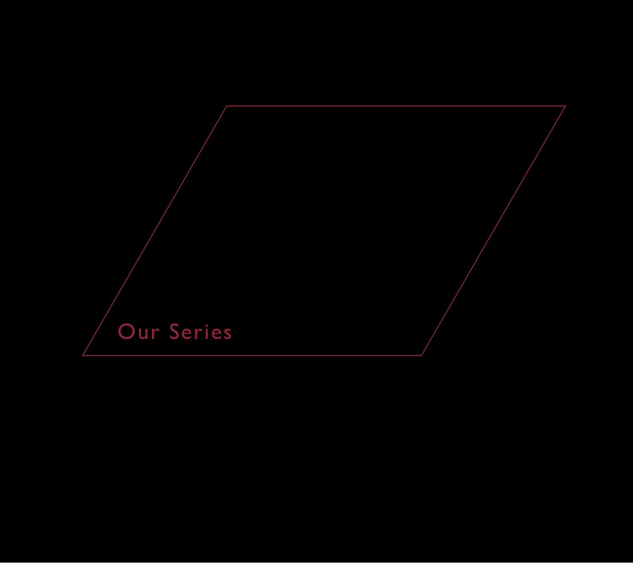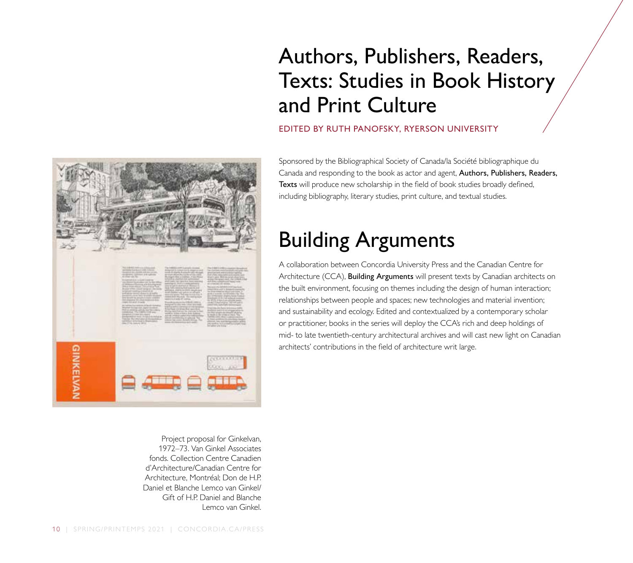# Authors, Publishers, Readers, Texts: Studies in Book History and Print Culture

### EDITED BY RUTH PANOFSKY, RYERSON UNIVERSITY

Sponsored by the Bibliographical Society of Canada/la Société bibliographique du Canada and responding to the book as actor and agent, Authors, Publishers, Readers, Texts will produce new scholarship in the field of book studies broadly defined, including bibliography, literary studies, print culture, and textual studies.

# Building Arguments

A collaboration between Concordia University Press and the Canadian Centre for Architecture (CCA), **Building Arguments** will present texts by Canadian architects on the built environment, focusing on themes including the design of human interaction; relationships between people and spaces; new technologies and material invention; and sustainability and ecology. Edited and contextualized by a contemporary scholar or practitioner, books in the series will deploy the CCA's rich and deep holdings of mid- to late twentieth-century architectural archives and will cast new light on Canadian architects' contributions in the field of architecture writ large.



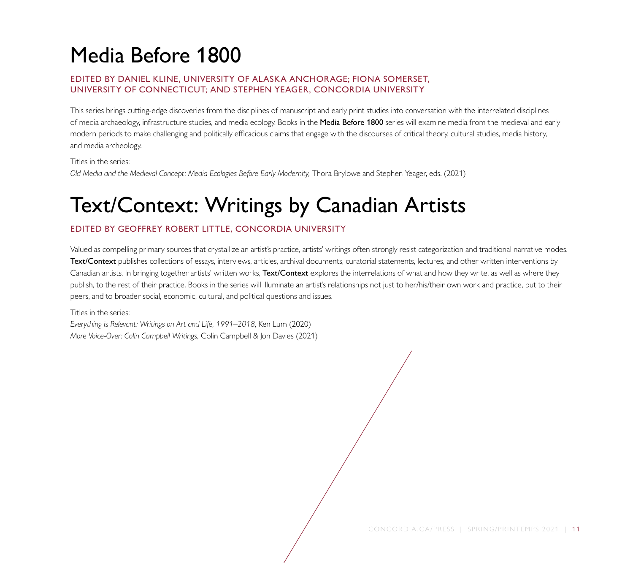# Media Before 1800

#### EDITED BY DANIEL KLINE, UNIVERSITY OF ALASKA ANCHORAGE; FIONA SOMERSET, UNIVERSITY OF CONNECTICUT; AND STEPHEN YEAGER, CONCORDIA UNIVERSITY

This series brings cutting-edge discoveries from the disciplines of manuscript and early print studies into conversation with the interrelated disciplines of media archaeology, infrastructure studies, and media ecology. Books in the Media Before 1800 series will examine media from the medieval and early modern periods to make challenging and politically efficacious claims that engage with the discourses of critical theory, cultural studies, media history, and media archeology.

Titles in the series: Old Media and the Medieval Concept: Media Ecologies Before Early Modernity, Thora Brylowe and Stephen Yeager, eds. (2021)

# Text/Context: Writings by Canadian Artists

### EDITED BY GEOFFREY ROBERT LITTLE, CONCORDIA UNIVERSITY

Valued as compelling primary sources that crystallize an artist's practice, artists' writings often strongly resist categorization and traditional narrative modes. Text/Context publishes collections of essays, interviews, articles, archival documents, curatorial statements, lectures, and other written interventions by Canadian artists. In bringing together artists' written works, Text/Context explores the interrelations of what and how they write, as well as where they publish, to the rest of their practice. Books in the series will illuminate an artist's relationships not just to her/his/their own work and practice, but to their peers, and to broader social, economic, cultural, and political questions and issues.

Titles in the series:

*Everything is Relevant: Writings on Art and Life, 1991–2018*, Ken Lum (2020) *More Voice-Over: Colin Campbell Writings,* Colin Campbell & Jon Davies (2021)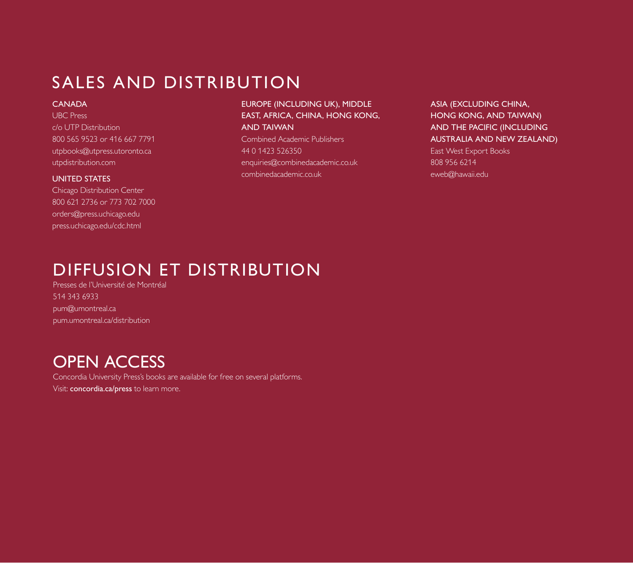## SALES AND DISTRIBUTION

#### **CANADA**

UBC Press c/o UTP Distribution 800 565 9523 or 416 667 7791 utpbooks@utpress.utoronto.ca utpdistribution.com

#### UNITED STATES

Chicago Distribution Center 800 621 2736 or 773 702 7000 orders@press.uchicago.edu press.uchicago.edu/cdc.html

#### EUROPE (INCLUDING UK), MIDDLE EAST, AFRICA, CHINA, HONG KONG, AND TAIWAN

Combined Academic Publishers 44 0 1423 526350 enquiries@combinedacademic.co.uk combinedacademic.co.uk

ASIA (EXCLUDING CHINA, HONG KONG, AND TAIWAN) AND THE PACIFIC (INCLUDING AUSTRALIA AND NEW ZEALAND) East West Export Books

808 956 6214 eweb@hawaii.edu

## DIFFUSION ET DISTRIBUTION

Presses de l'Université de Montréal 514 343 6933 pum@umontreal.ca pum.umontreal.ca/distribution

### OPEN ACCESS

Concordia University Press's books are available for free on several platforms. Visit: concordia.ca/press to learn more.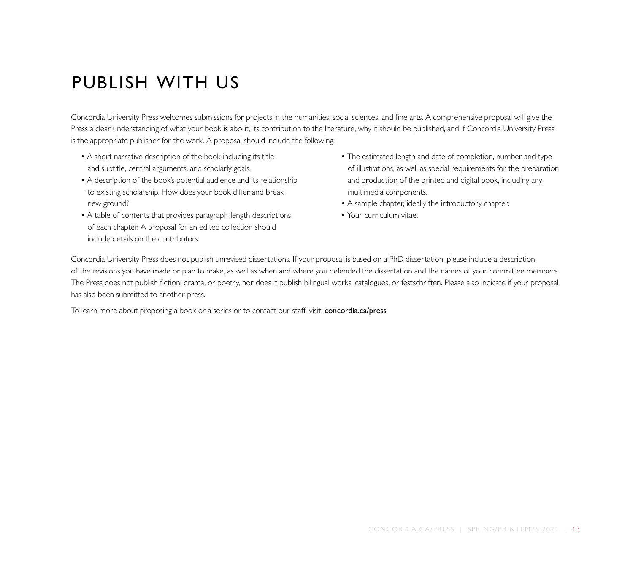## PUBLISH WITH US

Concordia University Press welcomes submissions for projects in the humanities, social sciences, and fine arts. A comprehensive proposal will give the Press a clear understanding of what your book is about, its contribution to the literature, why it should be published, and if Concordia University Press is the appropriate publisher for the work. A proposal should include the following:

- A short narrative description of the book including its title and subtitle, central arguments, and scholarly goals.
- A description of the book's potential audience and its relationship to existing scholarship. How does your book differ and break new ground?
- A table of contents that provides paragraph-length descriptions of each chapter. A proposal for an edited collection should include details on the contributors.
- The estimated length and date of completion, number and type of illustrations, as well as special requirements for the preparation and production of the printed and digital book, including any multimedia components.
- A sample chapter, ideally the introductory chapter.
- Your curriculum vitae.

Concordia University Press does not publish unrevised dissertations. If your proposal is based on a PhD dissertation, please include a description of the revisions you have made or plan to make, as well as when and where you defended the dissertation and the names of your committee members. The Press does not publish fiction, drama, or poetry, nor does it publish bilingual works, catalogues, or festschriften. Please also indicate if your proposal has also been submitted to another press.

To learn more about proposing a book or a series or to contact our staff, visit: concordia.ca/press